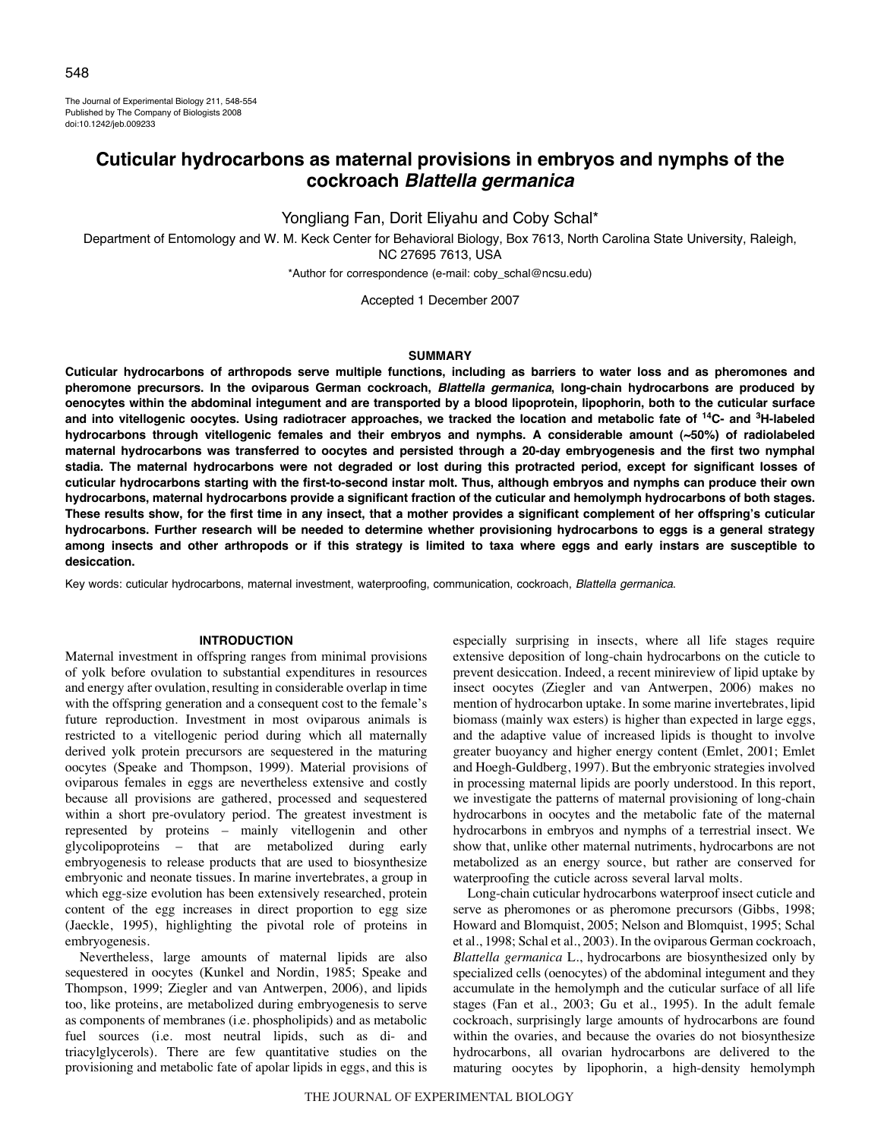The Journal of Experimental Biology 211, 548-554 Published by The Company of Biologists 2008 doi:10.1242/jeb.009233

# **Cuticular hydrocarbons as maternal provisions in embryos and nymphs of the cockroach Blattella germanica**

Yongliang Fan, Dorit Eliyahu and Coby Schal\*

Department of Entomology and W. M. Keck Center for Behavioral Biology, Box 7613, North Carolina State University, Raleigh, NC 27695 7613, USA

\*Author for correspondence (e-mail: coby\_schal@ncsu.edu)

Accepted 1 December 2007

#### **SUMMARY**

**Cuticular hydrocarbons of arthropods serve multiple functions, including as barriers to water loss and as pheromones and pheromone precursors. In the oviparous German cockroach, Blattella germanica, long-chain hydrocarbons are produced by oenocytes within the abdominal integument and are transported by a blood lipoprotein, lipophorin, both to the cuticular surface and into vitellogenic oocytes. Using radiotracer approaches, we tracked the location and metabolic fate of 14C- and 3H-labeled hydrocarbons through vitellogenic females and their embryos and nymphs. A considerable amount (~50%) of radiolabeled maternal hydrocarbons was transferred to oocytes and persisted through a 20-day embryogenesis and the first two nymphal stadia. The maternal hydrocarbons were not degraded or lost during this protracted period, except for significant losses of cuticular hydrocarbons starting with the first-to-second instar molt. Thus, although embryos and nymphs can produce their own hydrocarbons, maternal hydrocarbons provide a significant fraction of the cuticular and hemolymph hydrocarbons of both stages. These results show, for the first time in any insect, that a mother provides a significant complement of her offspring's cuticular hydrocarbons. Further research will be needed to determine whether provisioning hydrocarbons to eggs is a general strategy among insects and other arthropods or if this strategy is limited to taxa where eggs and early instars are susceptible to desiccation.**

Key words: cuticular hydrocarbons, maternal investment, waterproofing, communication, cockroach, Blattella germanica.

## **INTRODUCTION**

Maternal investment in offspring ranges from minimal provisions of yolk before ovulation to substantial expenditures in resources and energy after ovulation, resulting in considerable overlap in time with the offspring generation and a consequent cost to the female's future reproduction. Investment in most oviparous animals is restricted to a vitellogenic period during which all maternally derived yolk protein precursors are sequestered in the maturing oocytes (Speake and Thompson, 1999). Material provisions of oviparous females in eggs are nevertheless extensive and costly because all provisions are gathered, processed and sequestered within a short pre-ovulatory period. The greatest investment is represented by proteins – mainly vitellogenin and other glycolipoproteins – that are metabolized during early embryogenesis to release products that are used to biosynthesize embryonic and neonate tissues. In marine invertebrates, a group in which egg-size evolution has been extensively researched, protein content of the egg increases in direct proportion to egg size (Jaeckle, 1995), highlighting the pivotal role of proteins in embryogenesis.

Nevertheless, large amounts of maternal lipids are also sequestered in oocytes (Kunkel and Nordin, 1985; Speake and Thompson, 1999; Ziegler and van Antwerpen, 2006), and lipids too, like proteins, are metabolized during embryogenesis to serve as components of membranes (i.e. phospholipids) and as metabolic fuel sources (i.e. most neutral lipids, such as di- and triacylglycerols). There are few quantitative studies on the provisioning and metabolic fate of apolar lipids in eggs, and this is

especially surprising in insects, where all life stages require extensive deposition of long-chain hydrocarbons on the cuticle to prevent desiccation. Indeed, a recent minireview of lipid uptake by insect oocytes (Ziegler and van Antwerpen, 2006) makes no mention of hydrocarbon uptake. In some marine invertebrates, lipid biomass (mainly wax esters) is higher than expected in large eggs, and the adaptive value of increased lipids is thought to involve greater buoyancy and higher energy content (Emlet, 2001; Emlet and Hoegh-Guldberg, 1997). But the embryonic strategies involved in processing maternal lipids are poorly understood. In this report, we investigate the patterns of maternal provisioning of long-chain hydrocarbons in oocytes and the metabolic fate of the maternal hydrocarbons in embryos and nymphs of a terrestrial insect. We show that, unlike other maternal nutriments, hydrocarbons are not metabolized as an energy source, but rather are conserved for waterproofing the cuticle across several larval molts.

Long-chain cuticular hydrocarbons waterproof insect cuticle and serve as pheromones or as pheromone precursors (Gibbs, 1998; Howard and Blomquist, 2005; Nelson and Blomquist, 1995; Schal et al., 1998; Schal et al., 2003). In the oviparous German cockroach, *Blattella germanica* L., hydrocarbons are biosynthesized only by specialized cells (oenocytes) of the abdominal integument and they accumulate in the hemolymph and the cuticular surface of all life stages (Fan et al., 2003; Gu et al., 1995). In the adult female cockroach, surprisingly large amounts of hydrocarbons are found within the ovaries, and because the ovaries do not biosynthesize hydrocarbons, all ovarian hydrocarbons are delivered to the maturing oocytes by lipophorin, a high-density hemolymph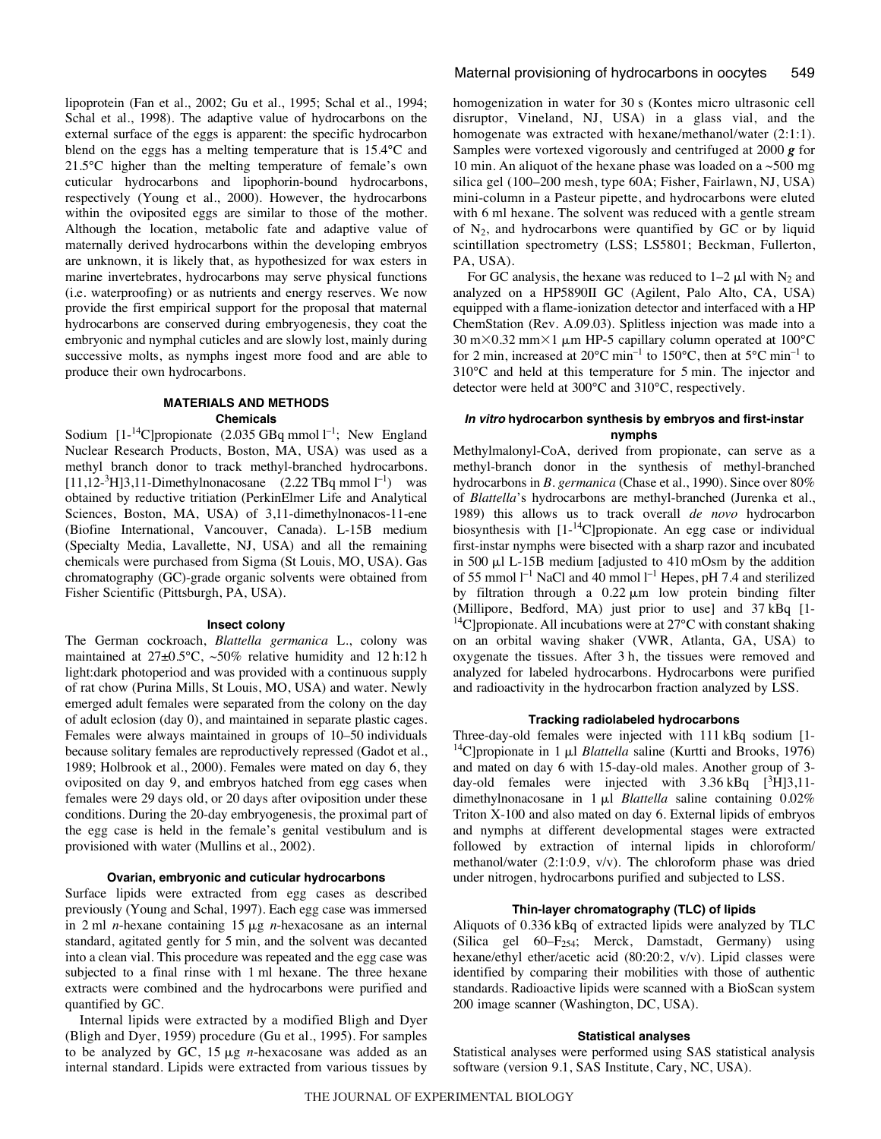lipoprotein (Fan et al., 2002; Gu et al., 1995; Schal et al., 1994; Schal et al., 1998). The adaptive value of hydrocarbons on the external surface of the eggs is apparent: the specific hydrocarbon blend on the eggs has a melting temperature that is 15.4°C and 21.5°C higher than the melting temperature of female's own cuticular hydrocarbons and lipophorin-bound hydrocarbons, respectively (Young et al., 2000). However, the hydrocarbons within the oviposited eggs are similar to those of the mother. Although the location, metabolic fate and adaptive value of maternally derived hydrocarbons within the developing embryos are unknown, it is likely that, as hypothesized for wax esters in marine invertebrates, hydrocarbons may serve physical functions (i.e. waterproofing) or as nutrients and energy reserves. We now provide the first empirical support for the proposal that maternal hydrocarbons are conserved during embryogenesis, they coat the embryonic and nymphal cuticles and are slowly lost, mainly during successive molts, as nymphs ingest more food and are able to produce their own hydrocarbons.

## **MATERIALS AND METHODS Chemicals**

Sodium  $[1 - {}^{14}C]$ propionate (2.035 GBq mmol  $l^{-1}$ ; New England Nuclear Research Products, Boston, MA, USA) was used as a methyl branch donor to track methyl-branched hydrocarbons.  $[11, 12^{-3}H]$ 3,11-Dimethylnonacosane  $(2.22 \text{ TBq mmol } l^{-1})$  was obtained by reductive tritiation (PerkinElmer Life and Analytical Sciences, Boston, MA, USA) of 3,11-dimethylnonacos-11-ene (Biofine International, Vancouver, Canada). L-15B medium (Specialty Media, Lavallette, NJ, USA) and all the remaining chemicals were purchased from Sigma (St Louis, MO, USA). Gas chromatography (GC)-grade organic solvents were obtained from Fisher Scientific (Pittsburgh, PA, USA).

#### **Insect colony**

The German cockroach, *Blattella germanica* L., colony was maintained at  $27\pm0.5^{\circ}$ C,  $\sim$  50% relative humidity and 12 h:12 h light:dark photoperiod and was provided with a continuous supply of rat chow (Purina Mills, St Louis, MO, USA) and water. Newly emerged adult females were separated from the colony on the day of adult eclosion (day 0), and maintained in separate plastic cages. Females were always maintained in groups of 10-50 individuals because solitary females are reproductively repressed (Gadot et al., 1989; Holbrook et al., 2000). Females were mated on day 6, they oviposited on day 9, and embryos hatched from egg cases when females were 29 days old, or 20 days after oviposition under these conditions. During the 20-day embryogenesis, the proximal part of the egg case is held in the female's genital vestibulum and is provisioned with water (Mullins et al., 2002).

## **Ovarian, embryonic and cuticular hydrocarbons**

Surface lipids were extracted from egg cases as described previously (Young and Schal, 1997). Each egg case was immersed in 2 ml *n*-hexane containing 15  $\mu$ g *n*-hexacosane as an internal standard, agitated gently for 5 min, and the solvent was decanted into a clean vial. This procedure was repeated and the egg case was subjected to a final rinse with 1 ml hexane. The three hexane extracts were combined and the hydrocarbons were purified and quantified by GC.

Internal lipids were extracted by a modified Bligh and Dyer (Bligh and Dyer, 1959) procedure (Gu et al., 1995). For samples to be analyzed by GC,  $15 \mu g$  *n*-hexacosane was added as an internal standard. Lipids were extracted from various tissues by homogenization in water for 30 s (Kontes micro ultrasonic cell disruptor, Vineland, NJ, USA) in a glass vial, and the homogenate was extracted with hexane/methanol/water (2:1:1). Samples were vortexed vigorously and centrifuged at 2000 *g* for 10 min. An aliquot of the hexane phase was loaded on a  $~500~mg$ silica gel (100–200 mesh, type 60A; Fisher, Fairlawn, NJ, USA) mini-column in a Pasteur pipette, and hydrocarbons were eluted with 6 ml hexane. The solvent was reduced with a gentle stream of  $N_2$ , and hydrocarbons were quantified by GC or by liquid scintillation spectrometry (LSS; LS5801; Beckman, Fullerton, PA, USA).

For GC analysis, the hexane was reduced to  $1-2 \mu l$  with  $N_2$  and analyzed on a HP5890II GC (Agilent, Palo Alto, CA, USA) equipped with a flame-ionization detector and interfaced with a HP ChemStation (Rev. A.09.03). Splitless injection was made into a  $30 \text{ m} \times 0.32 \text{ mm} \times 1 \text{ }\mu\text{m}$  HP-5 capillary column operated at 100°C for 2 min, increased at 20 $^{\circ}$ C min<sup>-1</sup> to 150 $^{\circ}$ C, then at 5 $^{\circ}$ C min<sup>-1</sup> to  $310^{\circ}$ C and held at this temperature for 5 min. The injector and detector were held at 300°C and 310°C, respectively.

## **In vitro hydrocarbon synthesis by embryos and first-instar nymphs**

Methylmalonyl-CoA, derived from propionate, can serve as a methyl-branch donor in the synthesis of methyl-branched hydrocarbons in *B. germanica* (Chase et al., 1990). Since over 80% of *Blattella*'s hydrocarbons are methyl-branched (Jurenka et al., 1989) this allows us to track overall *de novo* hydrocarbon biosynthesis with  $[1 - {^{14}C}]$ propionate. An egg case or individual first-instar nymphs were bisected with a sharp razor and incubated in 500 µl L-15B medium [adjusted to 410 mOsm by the addition of 55 mmol  $l^{-1}$  NaCl and 40 mmol  $l^{-1}$  Hepes, pH 7.4 and sterilized by filtration through a  $0.22 \mu m$  low protein binding filter (Millipore, Bedford, MA) just prior to use] and 37 kBq [1-<sup>14</sup>C]propionate. All incubations were at  $27^{\circ}$ C with constant shaking on an orbital waving shaker (VWR, Atlanta, GA, USA) to oxygenate the tissues. After 3 h, the tissues were removed and analyzed for labeled hydrocarbons. Hydrocarbons were purified and radioactivity in the hydrocarbon fraction analyzed by LSS.

## **Tracking radiolabeled hydrocarbons**

Three-day-old females were injected with 111 kBq sodium [1-<sup>14</sup>C]propionate in 1  $\mu$ l *Blattella* saline (Kurtti and Brooks, 1976) and mated on day 6 with 15-day-old males. Another group of 3 day-old females were injected with  $3.36$  kBq  $[^3$ H]3,11dimethylnonacosane in  $1 \mu l$  *Blattella* saline containing  $0.02\%$ Triton X-100 and also mated on day 6. External lipids of embryos and nymphs at different developmental stages were extracted followed by extraction of internal lipids in chloroform/ methanol/water (2:1:0.9, v/v). The chloroform phase was dried under nitrogen, hydrocarbons purified and subjected to LSS.

#### **Thin-layer chromatography (TLC) of lipids**

Aliquots of 0.336·kBq of extracted lipids were analyzed by TLC (Silica gel 60–F254; Merck, Damstadt, Germany) using hexane/ethyl ether/acetic acid (80:20:2, v/v). Lipid classes were identified by comparing their mobilities with those of authentic standards. Radioactive lipids were scanned with a BioScan system 200 image scanner (Washington, DC, USA).

## **Statistical analyses**

Statistical analyses were performed using SAS statistical analysis software (version 9.1, SAS Institute, Cary, NC, USA).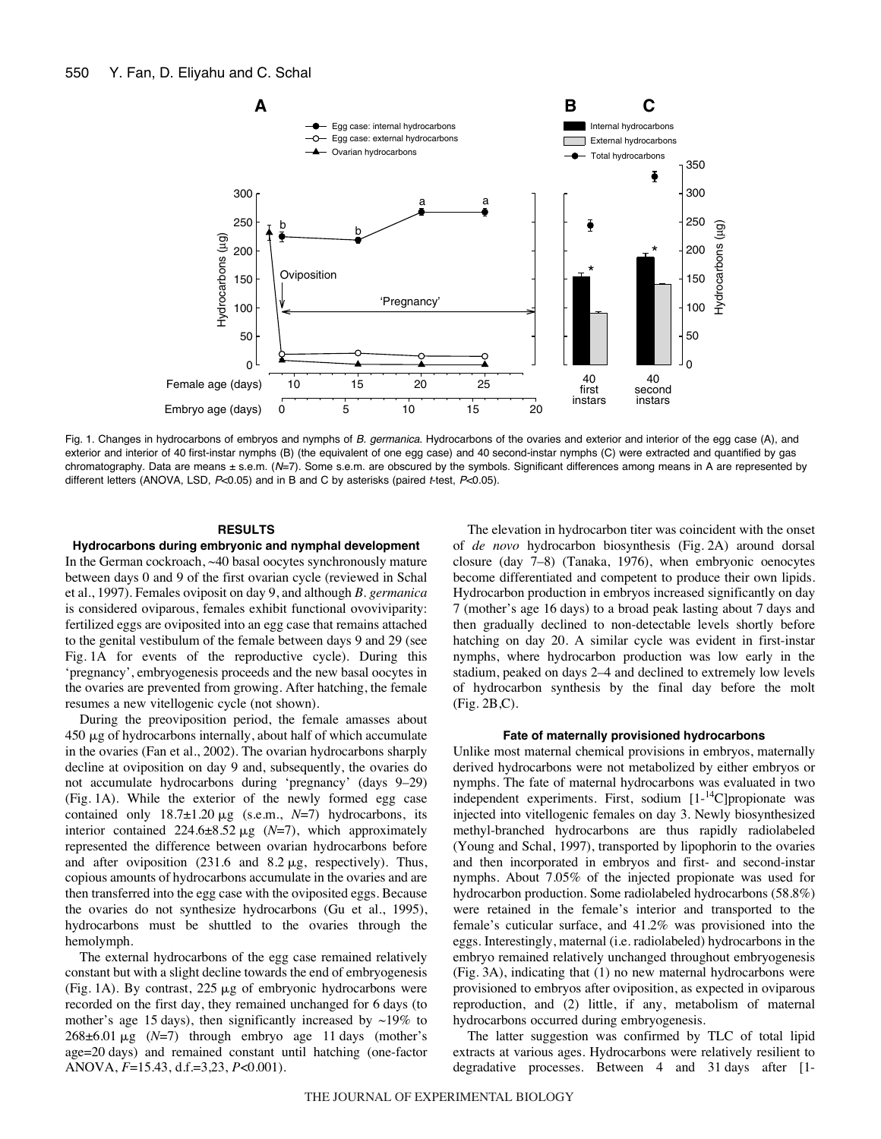

Fig. 1. Changes in hydrocarbons of embryos and nymphs of B. germanica. Hydrocarbons of the ovaries and exterior and interior of the egg case (A), and exterior and interior of 40 first-instar nymphs (B) (the equivalent of one egg case) and 40 second-instar nymphs (C) were extracted and quantified by gas chromatography. Data are means ± s.e.m. (N=7). Some s.e.m. are obscured by the symbols. Significant differences among means in A are represented by different letters (ANOVA, LSD, P<0.05) and in B and C by asterisks (paired t-test, P<0.05).

## **RESULTS**

## **Hydrocarbons during embryonic and nymphal development**

In the German cockroach, ~40 basal oocytes synchronously mature between days 0 and 9 of the first ovarian cycle (reviewed in Schal et al., 1997). Females oviposit on day 9, and although *B. germanica* is considered oviparous, females exhibit functional ovoviviparity: fertilized eggs are oviposited into an egg case that remains attached to the genital vestibulum of the female between days 9 and 29 (see Fig. 1A for events of the reproductive cycle). During this 'pregnancy', embryogenesis proceeds and the new basal oocytes in the ovaries are prevented from growing. After hatching, the female resumes a new vitellogenic cycle (not shown).

During the preoviposition period, the female amasses about 450 µg of hydrocarbons internally, about half of which accumulate in the ovaries (Fan et al., 2002). The ovarian hydrocarbons sharply decline at oviposition on day 9 and, subsequently, the ovaries do not accumulate hydrocarbons during 'pregnancy' (days 9–29) (Fig. 1A). While the exterior of the newly formed egg case contained only  $18.7 \pm 1.20 \mu g$  (s.e.m.,  $N=7$ ) hydrocarbons, its interior contained  $224.6 \pm 8.52 \mu g$  (N=7), which approximately represented the difference between ovarian hydrocarbons before and after oviposition  $(231.6 \text{ and } 8.2 \mu g,$  respectively). Thus, copious amounts of hydrocarbons accumulate in the ovaries and are then transferred into the egg case with the oviposited eggs. Because the ovaries do not synthesize hydrocarbons (Gu et al., 1995), hydrocarbons must be shuttled to the ovaries through the hemolymph.

The external hydrocarbons of the egg case remained relatively constant but with a slight decline towards the end of embryogenesis (Fig. 1A). By contrast,  $225 \mu g$  of embryonic hydrocarbons were recorded on the first day, they remained unchanged for 6 days (to mother's age 15 days), then significantly increased by  $\sim$ 19% to  $268\pm6.01 \text{ }\mu\text{g}$  (N=7) through embryo age 11 days (mother's age=20 days) and remained constant until hatching (one-factor ANOVA, *F*=15.43, d.f.=3,23, *P*<0.001).

The elevation in hydrocarbon titer was coincident with the onset of *de novo* hydrocarbon biosynthesis (Fig. 2A) around dorsal closure (day 7–8) (Tanaka, 1976), when embryonic oenocytes become differentiated and competent to produce their own lipids. Hydrocarbon production in embryos increased significantly on day 7 (mother's age 16 days) to a broad peak lasting about 7 days and then gradually declined to non-detectable levels shortly before hatching on day 20. A similar cycle was evident in first-instar nymphs, where hydrocarbon production was low early in the stadium, peaked on days 2–4 and declined to extremely low levels of hydrocarbon synthesis by the final day before the molt  $(Fig. 2B, C)$ .

#### **Fate of maternally provisioned hydrocarbons**

Unlike most maternal chemical provisions in embryos, maternally derived hydrocarbons were not metabolized by either embryos or nymphs. The fate of maternal hydrocarbons was evaluated in two independent experiments. First, sodium [1-14C]propionate was injected into vitellogenic females on day 3. Newly biosynthesized methyl-branched hydrocarbons are thus rapidly radiolabeled (Young and Schal, 1997), transported by lipophorin to the ovaries and then incorporated in embryos and first- and second-instar nymphs. About 7.05% of the injected propionate was used for hydrocarbon production. Some radiolabeled hydrocarbons (58.8%) were retained in the female's interior and transported to the female's cuticular surface, and 41.2% was provisioned into the eggs. Interestingly, maternal (i.e. radiolabeled) hydrocarbons in the embryo remained relatively unchanged throughout embryogenesis (Fig. 3A), indicating that (1) no new maternal hydrocarbons were provisioned to embryos after oviposition, as expected in oviparous reproduction, and (2) little, if any, metabolism of maternal hydrocarbons occurred during embryogenesis.

The latter suggestion was confirmed by TLC of total lipid extracts at various ages. Hydrocarbons were relatively resilient to degradative processes. Between 4 and 31 days after [1-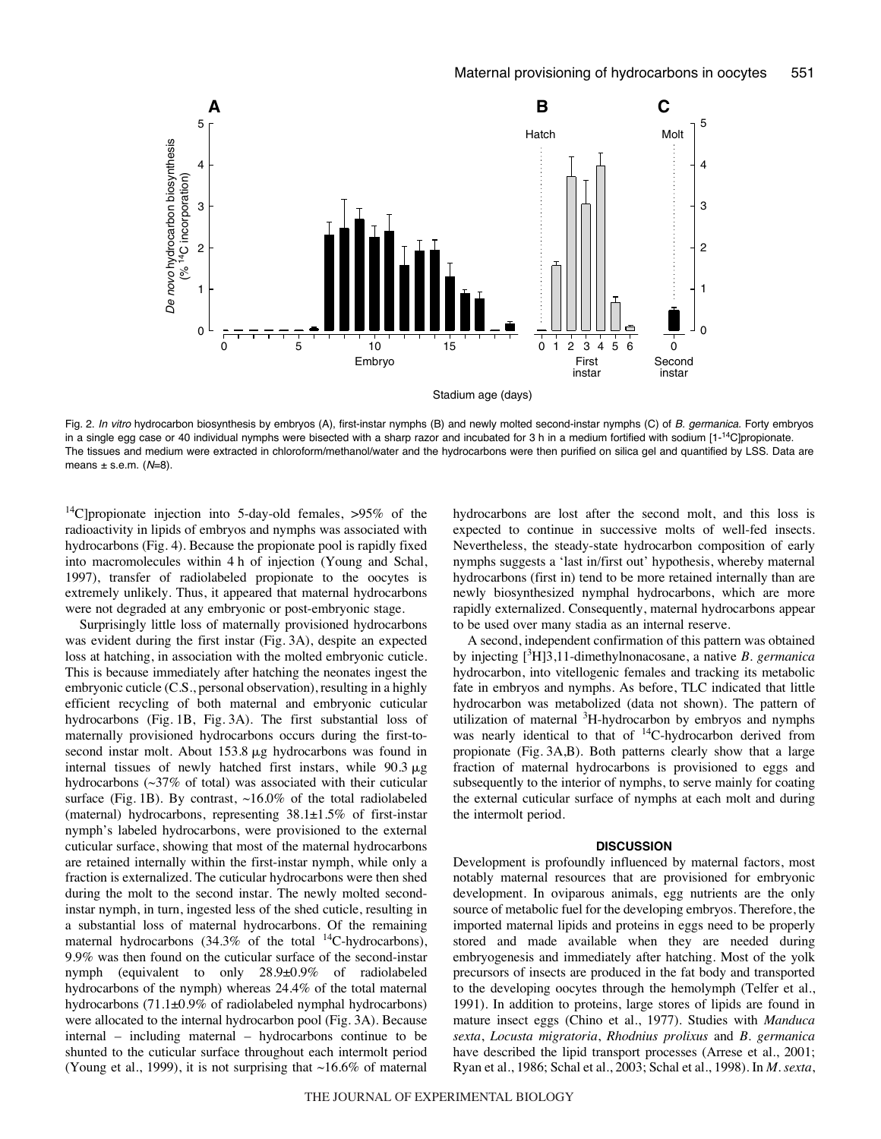

Fig. 2. In vitro hydrocarbon biosynthesis by embryos (A), first-instar nymphs (B) and newly molted second-instar nymphs (C) of B. germanica. Forty embryos in a single egg case or 40 individual nymphs were bisected with a sharp razor and incubated for 3 h in a medium fortified with sodium [1-<sup>14</sup>C]propionate. The tissues and medium were extracted in chloroform/methanol/water and the hydrocarbons were then purified on silica gel and quantified by LSS. Data are means  $\pm$  s.e.m. ( $N=8$ ).

14C]propionate injection into 5-day-old females, >95% of the radioactivity in lipids of embryos and nymphs was associated with hydrocarbons (Fig. 4). Because the propionate pool is rapidly fixed into macromolecules within 4 h of injection (Young and Schal, 1997), transfer of radiolabeled propionate to the oocytes is extremely unlikely. Thus, it appeared that maternal hydrocarbons were not degraded at any embryonic or post-embryonic stage.

Surprisingly little loss of maternally provisioned hydrocarbons was evident during the first instar (Fig. 3A), despite an expected loss at hatching, in association with the molted embryonic cuticle. This is because immediately after hatching the neonates ingest the embryonic cuticle (C.S., personal observation), resulting in a highly efficient recycling of both maternal and embryonic cuticular hydrocarbons (Fig. 1B, Fig. 3A). The first substantial loss of maternally provisioned hydrocarbons occurs during the first-tosecond instar molt. About  $153.8 \mu g$  hydrocarbons was found in internal tissues of newly hatched first instars, while  $90.3 \mu g$ hydrocarbons (~37% of total) was associated with their cuticular surface (Fig. 1B). By contrast,  $~16.0\%$  of the total radiolabeled (maternal) hydrocarbons, representing 38.1±1.5% of first-instar nymph's labeled hydrocarbons, were provisioned to the external cuticular surface, showing that most of the maternal hydrocarbons are retained internally within the first-instar nymph, while only a fraction is externalized. The cuticular hydrocarbons were then shed during the molt to the second instar. The newly molted secondinstar nymph, in turn, ingested less of the shed cuticle, resulting in a substantial loss of maternal hydrocarbons. Of the remaining maternal hydrocarbons  $(34.3\% \text{ of the total }^{14}C\text{-hydrocarbons}),$ 9.9% was then found on the cuticular surface of the second-instar nymph (equivalent to only 28.9±0.9% of radiolabeled hydrocarbons of the nymph) whereas 24.4% of the total maternal hydrocarbons (71.1±0.9% of radiolabeled nymphal hydrocarbons) were allocated to the internal hydrocarbon pool (Fig. 3A). Because internal – including maternal – hydrocarbons continue to be shunted to the cuticular surface throughout each intermolt period (Young et al., 1999), it is not surprising that ~16.6% of maternal hydrocarbons are lost after the second molt, and this loss is expected to continue in successive molts of well-fed insects. Nevertheless, the steady-state hydrocarbon composition of early nymphs suggests a 'last in/first out' hypothesis, whereby maternal hydrocarbons (first in) tend to be more retained internally than are newly biosynthesized nymphal hydrocarbons, which are more rapidly externalized. Consequently, maternal hydrocarbons appear to be used over many stadia as an internal reserve.

A second, independent confirmation of this pattern was obtained by injecting [3 H]3,11-dimethylnonacosane, a native *B. germanica* hydrocarbon, into vitellogenic females and tracking its metabolic fate in embryos and nymphs. As before, TLC indicated that little hydrocarbon was metabolized (data not shown). The pattern of utilization of maternal <sup>3</sup>H-hydrocarbon by embryos and nymphs was nearly identical to that of <sup>14</sup>C-hydrocarbon derived from propionate (Fig. 3A,B). Both patterns clearly show that a large fraction of maternal hydrocarbons is provisioned to eggs and subsequently to the interior of nymphs, to serve mainly for coating the external cuticular surface of nymphs at each molt and during the intermolt period.

#### **DISCUSSION**

Development is profoundly influenced by maternal factors, most notably maternal resources that are provisioned for embryonic development. In oviparous animals, egg nutrients are the only source of metabolic fuel for the developing embryos. Therefore, the imported maternal lipids and proteins in eggs need to be properly stored and made available when they are needed during embryogenesis and immediately after hatching. Most of the yolk precursors of insects are produced in the fat body and transported to the developing oocytes through the hemolymph (Telfer et al., 1991). In addition to proteins, large stores of lipids are found in mature insect eggs (Chino et al., 1977). Studies with *Manduca sexta*, *Locusta migratoria*, *Rhodnius prolixus* and *B. germanica* have described the lipid transport processes (Arrese et al., 2001; Ryan et al., 1986; Schal et al., 2003; Schal et al., 1998). In *M. sexta*,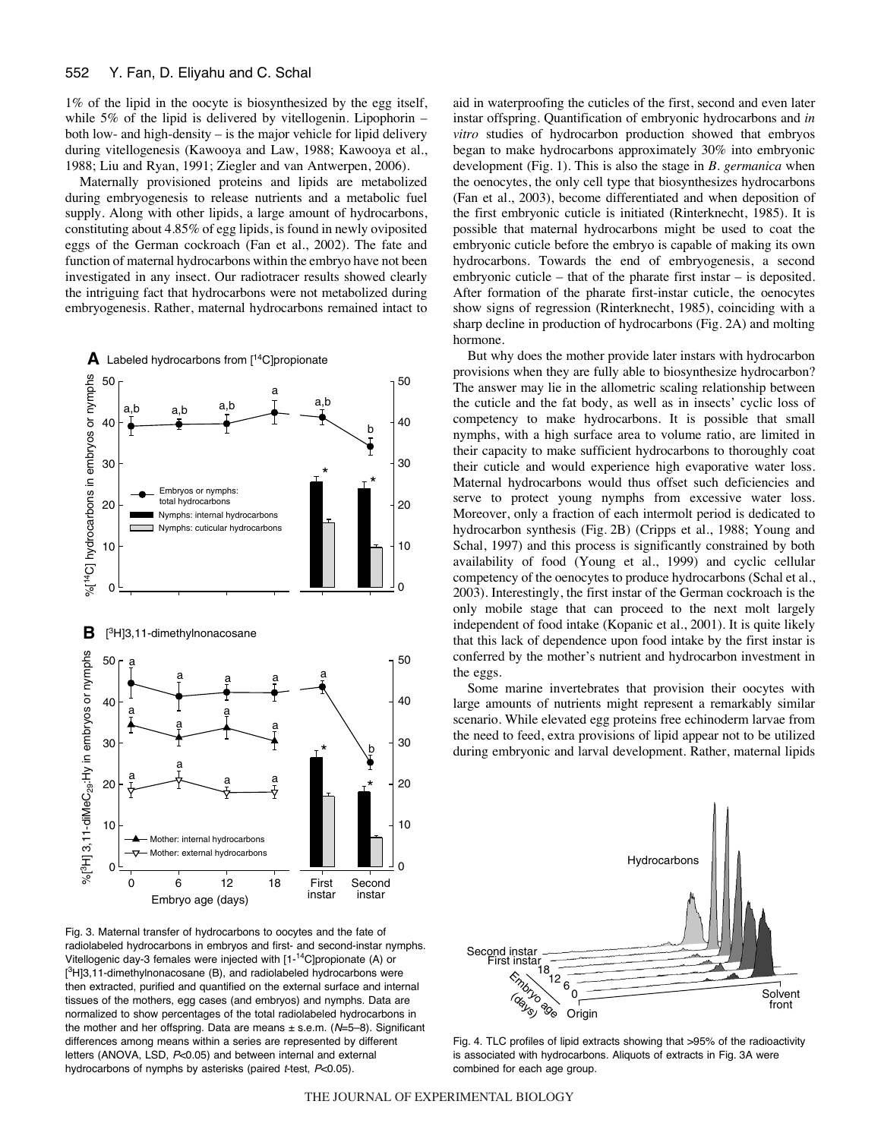1% of the lipid in the oocyte is biosynthesized by the egg itself, while 5% of the lipid is delivered by vitellogenin. Lipophorin – both low- and high-density – is the major vehicle for lipid delivery during vitellogenesis (Kawooya and Law, 1988; Kawooya et al., 1988; Liu and Ryan, 1991; Ziegler and van Antwerpen, 2006).

Maternally provisioned proteins and lipids are metabolized during embryogenesis to release nutrients and a metabolic fuel supply. Along with other lipids, a large amount of hydrocarbons, constituting about 4.85% of egg lipids, is found in newly oviposited eggs of the German cockroach (Fan et al., 2002). The fate and function of maternal hydrocarbons within the embryo have not been investigated in any insect. Our radiotracer results showed clearly the intriguing fact that hydrocarbons were not metabolized during embryogenesis. Rather, maternal hydrocarbons remained intact to



Fig. 3. Maternal transfer of hydrocarbons to oocytes and the fate of radiolabeled hydrocarbons in embryos and first- and second-instar nymphs. Vitellogenic day-3 females were injected with [1-14C]propionate (A) or [<sup>3</sup>H]3,11-dimethylnonacosane (B), and radiolabeled hydrocarbons were then extracted, purified and quantified on the external surface and internal tissues of the mothers, egg cases (and embryos) and nymphs. Data are normalized to show percentages of the total radiolabeled hydrocarbons in the mother and her offspring. Data are means  $\pm$  s.e.m. (N=5–8). Significant differences among means within a series are represented by different letters (ANOVA, LSD, P<0.05) and between internal and external hydrocarbons of nymphs by asterisks (paired t-test, P<0.05).

aid in waterproofing the cuticles of the first, second and even later instar offspring. Quantification of embryonic hydrocarbons and *in vitro* studies of hydrocarbon production showed that embryos began to make hydrocarbons approximately 30% into embryonic development (Fig. 1). This is also the stage in *B. germanica* when the oenocytes, the only cell type that biosynthesizes hydrocarbons (Fan et al., 2003), become differentiated and when deposition of the first embryonic cuticle is initiated (Rinterknecht, 1985). It is possible that maternal hydrocarbons might be used to coat the embryonic cuticle before the embryo is capable of making its own hydrocarbons. Towards the end of embryogenesis, a second embryonic cuticle – that of the pharate first instar – is deposited. After formation of the pharate first-instar cuticle, the oenocytes show signs of regression (Rinterknecht, 1985), coinciding with a sharp decline in production of hydrocarbons (Fig. 2A) and molting hormone.

But why does the mother provide later instars with hydrocarbon provisions when they are fully able to biosynthesize hydrocarbon? The answer may lie in the allometric scaling relationship between the cuticle and the fat body, as well as in insects' cyclic loss of competency to make hydrocarbons. It is possible that small nymphs, with a high surface area to volume ratio, are limited in their capacity to make sufficient hydrocarbons to thoroughly coat their cuticle and would experience high evaporative water loss. Maternal hydrocarbons would thus offset such deficiencies and serve to protect young nymphs from excessive water loss. Moreover, only a fraction of each intermolt period is dedicated to hydrocarbon synthesis (Fig. 2B) (Cripps et al., 1988; Young and Schal, 1997) and this process is significantly constrained by both availability of food (Young et al., 1999) and cyclic cellular competency of the oenocytes to produce hydrocarbons (Schal et al., 2003). Interestingly, the first instar of the German cockroach is the only mobile stage that can proceed to the next molt largely independent of food intake (Kopanic et al., 2001). It is quite likely that this lack of dependence upon food intake by the first instar is conferred by the mother's nutrient and hydrocarbon investment in the eggs.

Some marine invertebrates that provision their oocytes with large amounts of nutrients might represent a remarkably similar scenario. While elevated egg proteins free echinoderm larvae from the need to feed, extra provisions of lipid appear not to be utilized during embryonic and larval development. Rather, maternal lipids



Fig. 4. TLC profiles of lipid extracts showing that >95% of the radioactivity is associated with hydrocarbons. Aliquots of extracts in Fig. 3A were combined for each age group.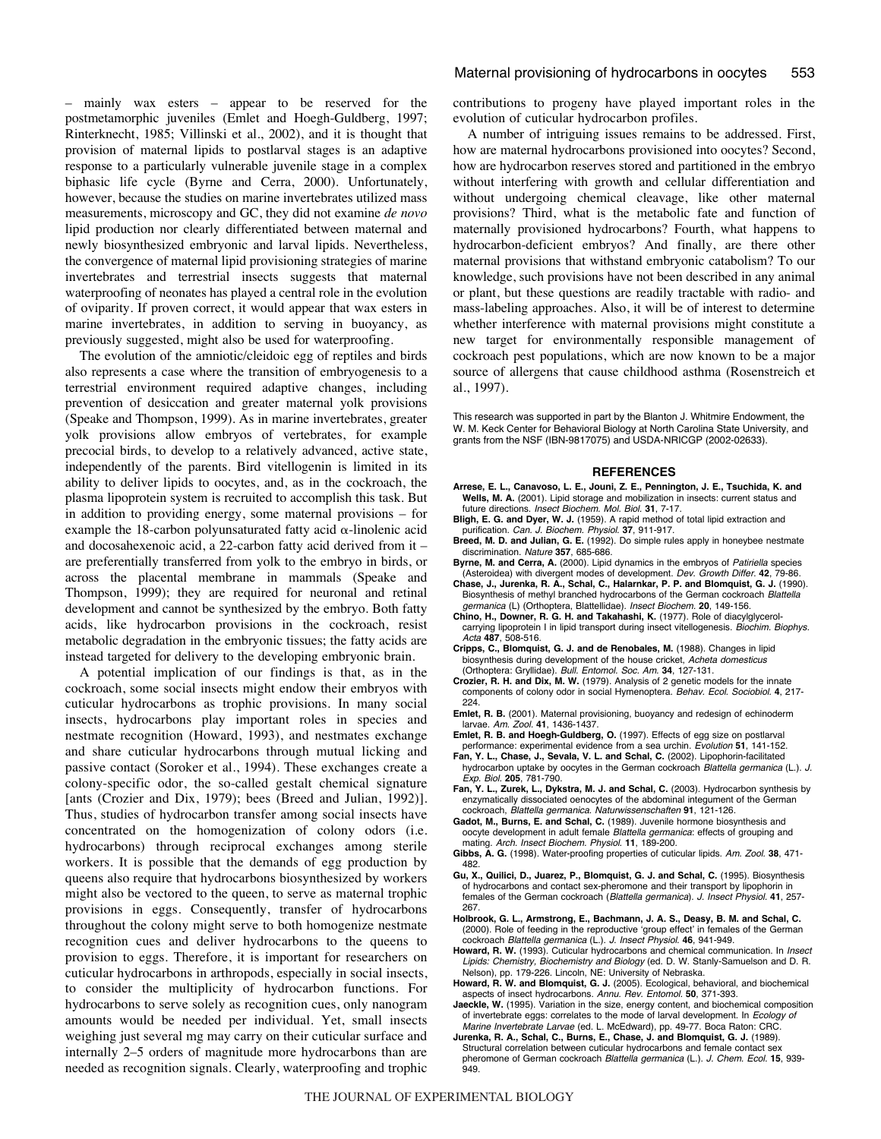– mainly wax esters – appear to be reserved for the postmetamorphic juveniles (Emlet and Hoegh-Guldberg, 1997; Rinterknecht, 1985; Villinski et al., 2002), and it is thought that provision of maternal lipids to postlarval stages is an adaptive response to a particularly vulnerable juvenile stage in a complex biphasic life cycle (Byrne and Cerra, 2000). Unfortunately, however, because the studies on marine invertebrates utilized mass measurements, microscopy and GC, they did not examine *de novo* lipid production nor clearly differentiated between maternal and newly biosynthesized embryonic and larval lipids. Nevertheless, the convergence of maternal lipid provisioning strategies of marine invertebrates and terrestrial insects suggests that maternal waterproofing of neonates has played a central role in the evolution of oviparity. If proven correct, it would appear that wax esters in marine invertebrates, in addition to serving in buoyancy, as previously suggested, might also be used for waterproofing.

The evolution of the amniotic/cleidoic egg of reptiles and birds also represents a case where the transition of embryogenesis to a terrestrial environment required adaptive changes, including prevention of desiccation and greater maternal yolk provisions (Speake and Thompson, 1999). As in marine invertebrates, greater yolk provisions allow embryos of vertebrates, for example precocial birds, to develop to a relatively advanced, active state, independently of the parents. Bird vitellogenin is limited in its ability to deliver lipids to oocytes, and, as in the cockroach, the plasma lipoprotein system is recruited to accomplish this task. But in addition to providing energy, some maternal provisions – for example the 18-carbon polyunsaturated fatty acid  $\alpha$ -linolenic acid and docosahexenoic acid, a 22-carbon fatty acid derived from it – are preferentially transferred from yolk to the embryo in birds, or across the placental membrane in mammals (Speake and Thompson, 1999); they are required for neuronal and retinal development and cannot be synthesized by the embryo. Both fatty acids, like hydrocarbon provisions in the cockroach, resist metabolic degradation in the embryonic tissues; the fatty acids are instead targeted for delivery to the developing embryonic brain.

A potential implication of our findings is that, as in the cockroach, some social insects might endow their embryos with cuticular hydrocarbons as trophic provisions. In many social insects, hydrocarbons play important roles in species and nestmate recognition (Howard, 1993), and nestmates exchange and share cuticular hydrocarbons through mutual licking and passive contact (Soroker et al., 1994). These exchanges create a colony-specific odor, the so-called gestalt chemical signature [ants (Crozier and Dix, 1979); bees (Breed and Julian, 1992)]. Thus, studies of hydrocarbon transfer among social insects have concentrated on the homogenization of colony odors (i.e. hydrocarbons) through reciprocal exchanges among sterile workers. It is possible that the demands of egg production by queens also require that hydrocarbons biosynthesized by workers might also be vectored to the queen, to serve as maternal trophic provisions in eggs. Consequently, transfer of hydrocarbons throughout the colony might serve to both homogenize nestmate recognition cues and deliver hydrocarbons to the queens to provision to eggs. Therefore, it is important for researchers on cuticular hydrocarbons in arthropods, especially in social insects, to consider the multiplicity of hydrocarbon functions. For hydrocarbons to serve solely as recognition cues, only nanogram amounts would be needed per individual. Yet, small insects weighing just several mg may carry on their cuticular surface and internally 2–5 orders of magnitude more hydrocarbons than are needed as recognition signals. Clearly, waterproofing and trophic contributions to progeny have played important roles in the evolution of cuticular hydrocarbon profiles.

A number of intriguing issues remains to be addressed. First, how are maternal hydrocarbons provisioned into oocytes? Second, how are hydrocarbon reserves stored and partitioned in the embryo without interfering with growth and cellular differentiation and without undergoing chemical cleavage, like other maternal provisions? Third, what is the metabolic fate and function of maternally provisioned hydrocarbons? Fourth, what happens to hydrocarbon-deficient embryos? And finally, are there other maternal provisions that withstand embryonic catabolism? To our knowledge, such provisions have not been described in any animal or plant, but these questions are readily tractable with radio- and mass-labeling approaches. Also, it will be of interest to determine whether interference with maternal provisions might constitute a new target for environmentally responsible management of cockroach pest populations, which are now known to be a major source of allergens that cause childhood asthma (Rosenstreich et al., 1997).

This research was supported in part by the Blanton J. Whitmire Endowment, the W. M. Keck Center for Behavioral Biology at North Carolina State University, and grants from the NSF (IBN-9817075) and USDA-NRICGP (2002-02633).

#### **REFERENCES**

- **Arrese, E. L., Canavoso, L. E., Jouni, Z. E., Pennington, J. E., Tsuchida, K. and Wells, M. A.** (2001). Lipid storage and mobilization in insects: current status and future directions. Insect Biochem. Mol. Biol. **31**, 7-17.
- **Bligh, E. G. and Dyer, W. J.** (1959). A rapid method of total lipid extraction and purification. Can. J. Biochem. Physiol. **37**, 911-917.
- **Breed, M. D. and Julian, G. E.** (1992). Do simple rules apply in honeybee nestmate discrimination. Nature **357**, 685-686.
- **Byrne, M. and Cerra, A.** (2000). Lipid dynamics in the embryos of Patiriella species (Asteroidea) with divergent modes of development. Dev. Growth Differ. **42**, 79-86.
- **Chase, J., Jurenka, R. A., Schal, C., Halarnkar, P. P. and Blomquist, G. J.** (1990). Biosynthesis of methyl branched hydrocarbons of the German cockroach Blattella germanica (L) (Orthoptera, Blattellidae). Insect Biochem. **20**, 149-156.
- **Chino, H., Downer, R. G. H. and Takahashi, K.** (1977). Role of diacylglycerolcarrying lipoprotein I in lipid transport during insect vitellogenesis. Biochim. Biophys. Acta **487**, 508-516.
- **Cripps, C., Blomquist, G. J. and de Renobales, M.** (1988). Changes in lipid biosynthesis during development of the house cricket, Acheta domesticus (Orthoptera: Gryllidae). Bull. Entomol. Soc. Am. **34**, 127-131.
- **Crozier, R. H. and Dix, M. W.** (1979). Analysis of 2 genetic models for the innate components of colony odor in social Hymenoptera. Behav. Ecol. Sociobiol. **4**, 217- 224.
- **Emlet, R. B.** (2001). Maternal provisioning, buoyancy and redesign of echinoderm larvae. Am. Zool. **41**, 1436-1437.
- **Emlet, R. B. and Hoegh-Guldberg, O.** (1997). Effects of egg size on postlarval performance: experimental evidence from a sea urchin. Evolution **51**, 141-152.
- **Fan, Y. L., Chase, J., Sevala, V. L. and Schal, C.** (2002). Lipophorin-facilitated hydrocarbon uptake by oocytes in the German cockroach Blattella germanica (L.). J. Exp. Biol. **205**, 781-790.
- **Fan, Y. L., Zurek, L., Dykstra, M. J. and Schal, C.** (2003). Hydrocarbon synthesis by enzymatically dissociated oenocytes of the abdominal integument of the German cockroach, Blattella germanica. Naturwissenschaften **91**, 121-126.
- **Gadot, M., Burns, E. and Schal, C.** (1989). Juvenile hormone biosynthesis and oocyte development in adult female Blattella germanica: effects of grouping and mating. Arch. Insect Biochem. Physiol. **11**, 189-200.
- **Gibbs, A. G.** (1998). Water-proofing properties of cuticular lipids. Am. Zool. **38**, 471- 482.
- **Gu, X., Quilici, D., Juarez, P., Blomquist, G. J. and Schal, C.** (1995). Biosynthesis of hydrocarbons and contact sex-pheromone and their transport by lipophorin in females of the German cockroach (Blattella germanica). J. Insect Physiol. **41**, 257- 267.
- **Holbrook, G. L., Armstrong, E., Bachmann, J. A. S., Deasy, B. M. and Schal, C.** (2000). Role of feeding in the reproductive ʻgroup effect' in females of the German cockroach Blattella germanica (L.). J. Insect Physiol. **46**, 941-949.
- Howard, R. W. (1993). Cuticular hydrocarbons and chemical communication. In Insect *Lipids: Chemistry, Biochemistry and Biology* (ed. D. W. Stanly-Samuelson and D. R.<br>Nelson), pp. 179-226. Lincoln, NE: University of Nebraska.
- **Howard, R. W. and Blomquist, G. J.** (2005). Ecological, behavioral, and biochemical aspects of insect hydrocarbons. Annu. Rev. Entomol. **50**, 371-393.
- **Jaeckle, W.** (1995). Variation in the size, energy content, and biochemical composition of invertebrate eggs: correlates to the mode of larval development. In Ecology of Marine Invertebrate Larvae (ed. L. McEdward), pp. 49-77. Boca Raton: CRC.
- **Jurenka, R. A., Schal, C., Burns, E., Chase, J. and Blomquist, G. J.** (1989). Structural correlation between cuticular hydrocarbons and female contact sex pheromone of German cockroach Blattella germanica (L.). J. Chem. Ecol. **15**, 939- 949.